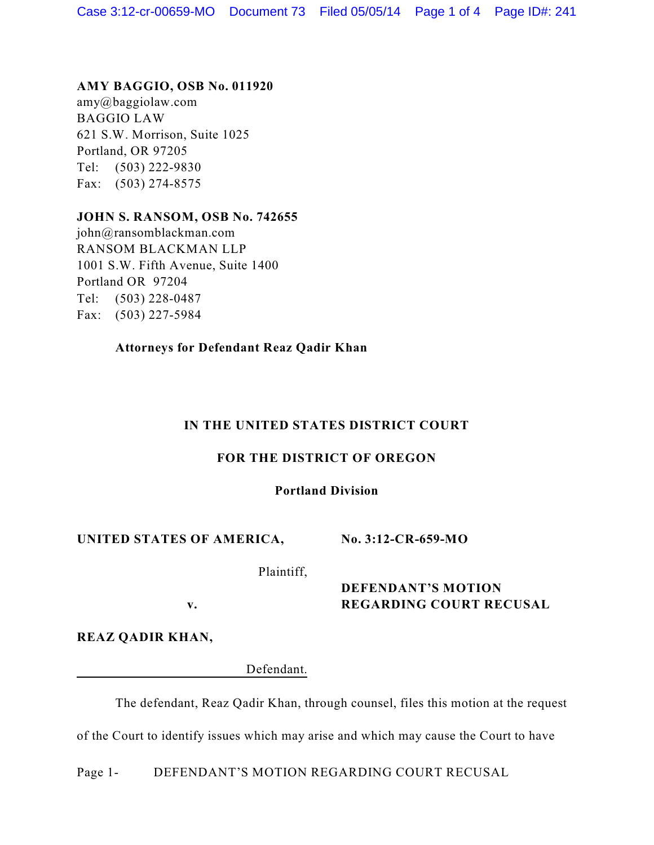#### **AMY BAGGIO, OSB No. 011920**

amy@baggiolaw.com BAGGIO LAW 621 S.W. Morrison, Suite 1025 Portland, OR 97205 Tel: (503) 222-9830 Fax: (503) 274-8575

## **JOHN S. RANSOM, OSB No. 742655**

john@ransomblackman.com RANSOM BLACKMAN LLP 1001 S.W. Fifth Avenue, Suite 1400 Portland OR 97204 Tel: (503) 228-0487 Fax: (503) 227-5984

## **Attorneys for Defendant Reaz Qadir Khan**

## **IN THE UNITED STATES DISTRICT COURT**

## **FOR THE DISTRICT OF OREGON**

#### **Portland Division**

## **UNITED STATES OF AMERICA,**

**No. 3:12-CR-659-MO**

Plaintiff,

**v.**

# **DEFENDANT'S MOTION REGARDING COURT RECUSAL**

**REAZ QADIR KHAN,**

Defendant.

The defendant, Reaz Qadir Khan, through counsel, files this motion at the request

of the Court to identify issues which may arise and which may cause the Court to have

Page 1- DEFENDANT'S MOTION REGARDING COURT RECUSAL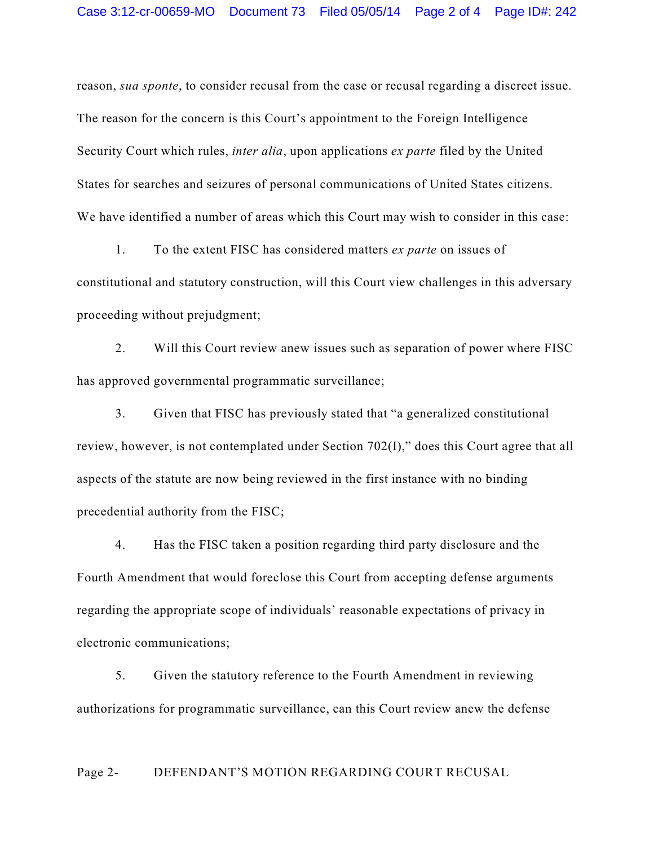reason, *sua sponte*, to consider recusal from the case or recusal regarding a discreet issue. The reason for the concern is this Court's appointment to the Foreign Intelligence Security Court which rules, *inter alia*, upon applications *ex parte* filed by the United States for searches and seizures of personal communications of United States citizens. We have identified a number of areas which this Court may wish to consider in this case:

1. To the extent FISC has considered matters *ex parte* on issues of constitutional and statutory construction, will this Court view challenges in this adversary proceeding without prejudgment;

2. Will this Court review anew issues such as separation of power where FISC has approved governmental programmatic surveillance;

3. Given that FISC has previously stated that "a generalized constitutional review, however, is not contemplated under Section 702(I)," does this Court agree that all aspects of the statute are now being reviewed in the first instance with no binding precedential authority from the FISC;

4. Has the FISC taken a position regarding third party disclosure and the Fourth Amendment that would foreclose this Court from accepting defense arguments regarding the appropriate scope of individuals' reasonable expectations of privacy in electronic communications;

5. Given the statutory reference to the Fourth Amendment in reviewing authorizations for programmatic surveillance, can this Court review anew the defense

#### Page 2- DEFENDANT'S MOTION REGARDING COURT RECUSAL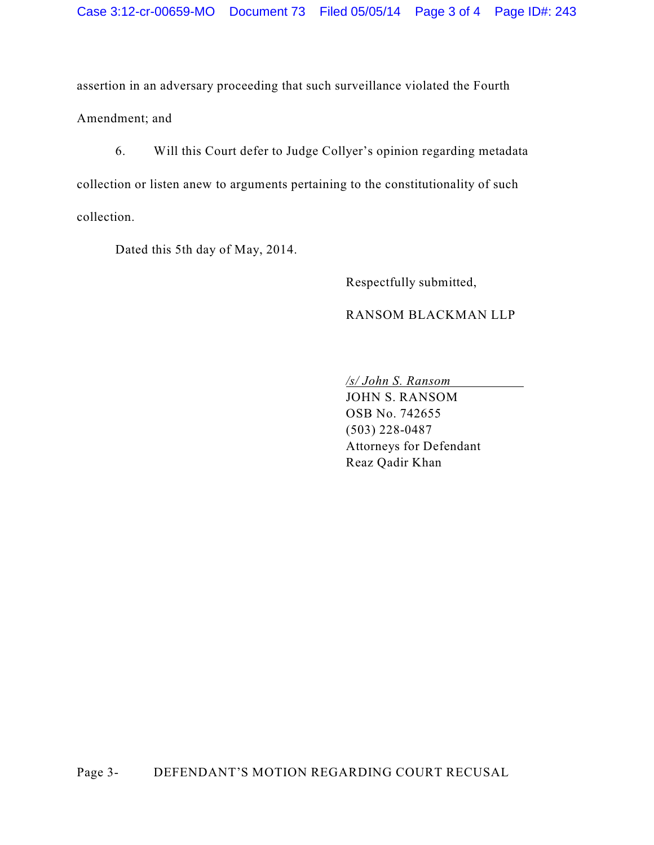assertion in an adversary proceeding that such surveillance violated the Fourth Amendment; and

6. Will this Court defer to Judge Collyer's opinion regarding metadata collection or listen anew to arguments pertaining to the constitutionality of such collection.

Dated this 5th day of May, 2014.

Respectfully submitted,

#### RANSOM BLACKMAN LLP

*/s/ John S. Ransom*

JOHN S. RANSOM OSB No. 742655 (503) 228-0487 Attorneys for Defendant Reaz Qadir Khan